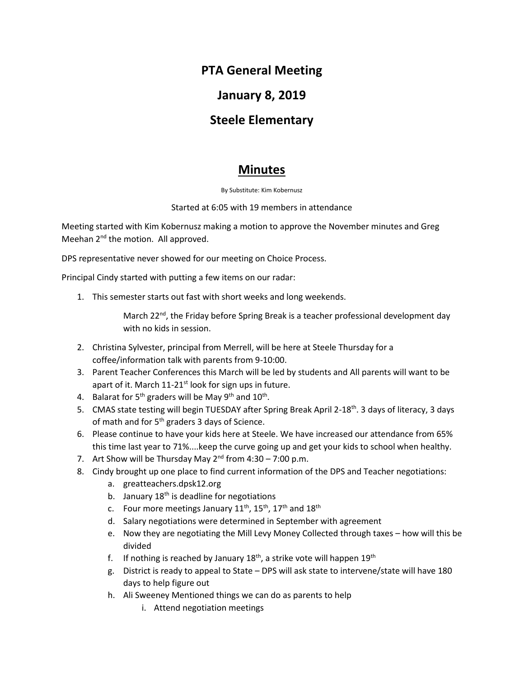# **PTA General Meeting**

## **January 8, 2019**

## **Steele Elementary**

## **Minutes**

By Substitute: Kim Kobernusz

#### Started at 6:05 with 19 members in attendance

Meeting started with Kim Kobernusz making a motion to approve the November minutes and Greg Meehan 2<sup>nd</sup> the motion. All approved.

DPS representative never showed for our meeting on Choice Process.

Principal Cindy started with putting a few items on our radar:

1. This semester starts out fast with short weeks and long weekends.

March 22<sup>nd</sup>, the Friday before Spring Break is a teacher professional development day with no kids in session.

- 2. Christina Sylvester, principal from Merrell, will be here at Steele Thursday for a coffee/information talk with parents from 9-10:00.
- 3. Parent Teacher Conferences this March will be led by students and All parents will want to be apart of it. March  $11-21$ <sup>st</sup> look for sign ups in future.
- 4. Balarat for 5<sup>th</sup> graders will be May 9<sup>th</sup> and 10<sup>th</sup>.
- 5. CMAS state testing will begin TUESDAY after Spring Break April 2-18<sup>th</sup>. 3 days of literacy, 3 days of math and for  $5<sup>th</sup>$  graders 3 days of Science.
- 6. Please continue to have your kids here at Steele. We have increased our attendance from 65% this time last year to 71%....keep the curve going up and get your kids to school when healthy.
- 7. Art Show will be Thursday May  $2^{nd}$  from  $4:30 7:00$  p.m.
- 8. Cindy brought up one place to find current information of the DPS and Teacher negotiations:
	- a. greatteachers.dpsk12.org
	- b. January  $18<sup>th</sup>$  is deadline for negotiations
	- c. Four more meetings January  $11^{th}$ ,  $15^{th}$ ,  $17^{th}$  and  $18^{th}$
	- d. Salary negotiations were determined in September with agreement
	- e. Now they are negotiating the Mill Levy Money Collected through taxes how will this be divided
	- f. If nothing is reached by January  $18<sup>th</sup>$ , a strike vote will happen  $19<sup>th</sup>$
	- g. District is ready to appeal to State DPS will ask state to intervene/state will have 180 days to help figure out
	- h. Ali Sweeney Mentioned things we can do as parents to help
		- i. Attend negotiation meetings